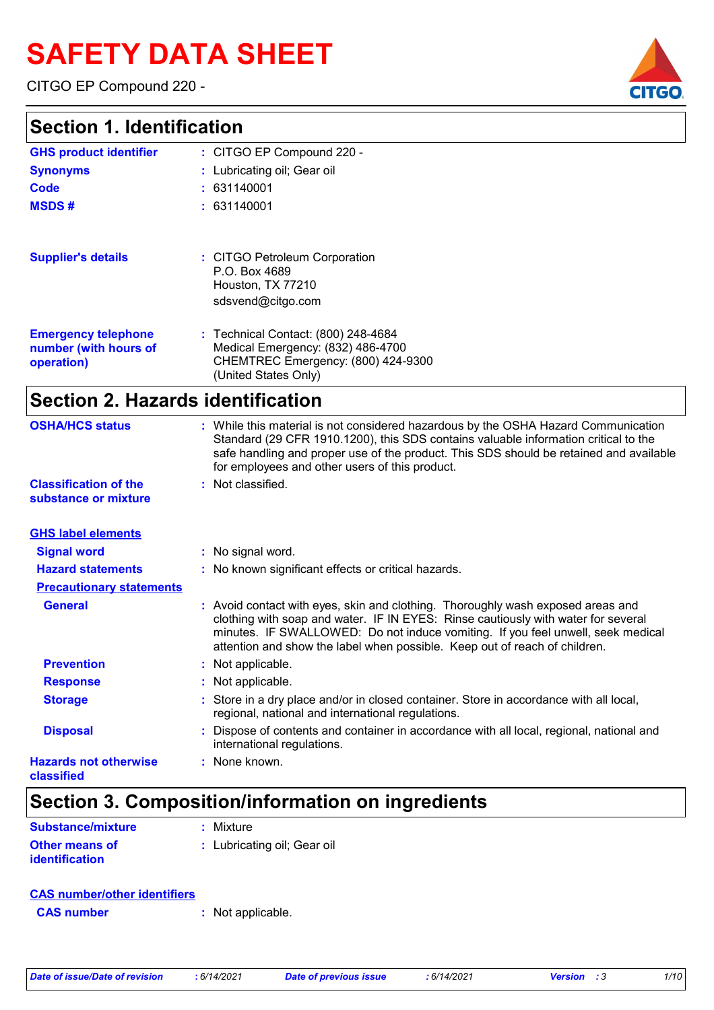# **SAFETY DATA SHEET**

CITGO EP Compound 220 -

### **Section 1. Identification**

| <u>JECHUIL I. IUEIILIIICALIUII</u>                                |                                                                                                                                        |  |
|-------------------------------------------------------------------|----------------------------------------------------------------------------------------------------------------------------------------|--|
| <b>GHS product identifier</b>                                     | : CITGO EP Compound 220 -                                                                                                              |  |
| <b>Synonyms</b>                                                   | : Lubricating oil; Gear oil                                                                                                            |  |
| Code                                                              | : 631140001                                                                                                                            |  |
| <b>MSDS#</b>                                                      | : 631140001                                                                                                                            |  |
| <b>Supplier's details</b>                                         | : CITGO Petroleum Corporation<br>P.O. Box 4689<br>Houston, TX 77210<br>sdsvend@citgo.com                                               |  |
| <b>Emergency telephone</b><br>number (with hours of<br>operation) | : Technical Contact: (800) 248-4684<br>Medical Emergency: (832) 486-4700<br>CHEMTREC Emergency: (800) 424-9300<br>(United States Only) |  |

# **Section 2. Hazards identification**

| <b>OSHA/HCS status</b>                     | : While this material is not considered hazardous by the OSHA Hazard Communication<br>Standard (29 CFR 1910.1200), this SDS contains valuable information critical to the<br>safe handling and proper use of the product. This SDS should be retained and available<br>for employees and other users of this product.                 |
|--------------------------------------------|---------------------------------------------------------------------------------------------------------------------------------------------------------------------------------------------------------------------------------------------------------------------------------------------------------------------------------------|
| <b>Classification of the</b>               | : Not classified.                                                                                                                                                                                                                                                                                                                     |
| substance or mixture                       |                                                                                                                                                                                                                                                                                                                                       |
| <b>GHS label elements</b>                  |                                                                                                                                                                                                                                                                                                                                       |
| <b>Signal word</b>                         | : No signal word.                                                                                                                                                                                                                                                                                                                     |
| <b>Hazard statements</b>                   | : No known significant effects or critical hazards.                                                                                                                                                                                                                                                                                   |
| <b>Precautionary statements</b>            |                                                                                                                                                                                                                                                                                                                                       |
| <b>General</b>                             | : Avoid contact with eyes, skin and clothing. Thoroughly wash exposed areas and<br>clothing with soap and water. IF IN EYES: Rinse cautiously with water for several<br>minutes. IF SWALLOWED: Do not induce vomiting. If you feel unwell, seek medical<br>attention and show the label when possible. Keep out of reach of children. |
| <b>Prevention</b>                          | : Not applicable.                                                                                                                                                                                                                                                                                                                     |
| <b>Response</b>                            | : Not applicable.                                                                                                                                                                                                                                                                                                                     |
| <b>Storage</b>                             | : Store in a dry place and/or in closed container. Store in accordance with all local,<br>regional, national and international regulations.                                                                                                                                                                                           |
| <b>Disposal</b>                            | Dispose of contents and container in accordance with all local, regional, national and<br>international regulations.                                                                                                                                                                                                                  |
| <b>Hazards not otherwise</b><br>classified | : None known.                                                                                                                                                                                                                                                                                                                         |

# **Section 3. Composition/information on ingredients**

| <b>Substance/mixture</b> | $:$ Mixture                 |
|--------------------------|-----------------------------|
| <b>Other means of</b>    | : Lubricating oil; Gear oil |
| <i>identification</i>    |                             |

| <b>CAS number/other identifiers</b> |  |                   |
|-------------------------------------|--|-------------------|
| <b>CAS</b> number                   |  | : Not applicable. |

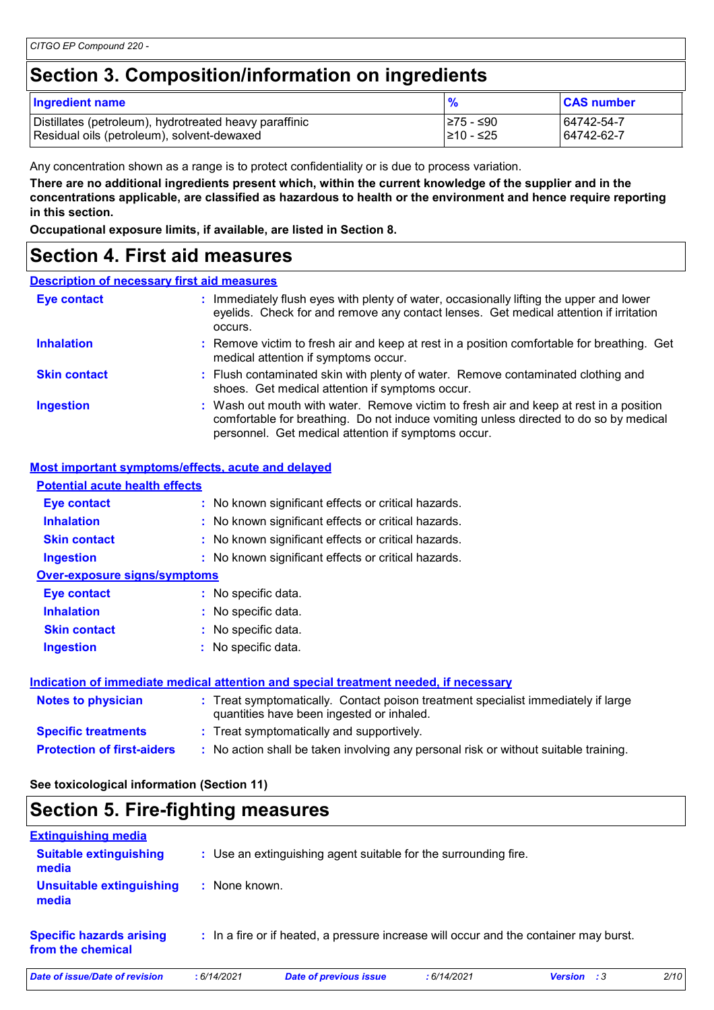# **Section 3. Composition/information on ingredients**

| <b>Ingredient name</b>                                 | %          | <b>CAS number</b> |
|--------------------------------------------------------|------------|-------------------|
| Distillates (petroleum), hydrotreated heavy paraffinic | I≥75 - ≤90 | 64742-54-7        |
| Residual oils (petroleum), solvent-dewaxed             | l≥10 - ≤25 | 64742-62-7        |

Any concentration shown as a range is to protect confidentiality or is due to process variation.

**There are no additional ingredients present which, within the current knowledge of the supplier and in the concentrations applicable, are classified as hazardous to health or the environment and hence require reporting in this section.**

**Occupational exposure limits, if available, are listed in Section 8.**

### **Section 4. First aid measures**

#### **Description of necessary first aid measures**

| Eye contact         | : Immediately flush eyes with plenty of water, occasionally lifting the upper and lower<br>eyelids. Check for and remove any contact lenses. Get medical attention if irritation                                                       |  |
|---------------------|----------------------------------------------------------------------------------------------------------------------------------------------------------------------------------------------------------------------------------------|--|
| <b>Inhalation</b>   | : Remove victim to fresh air and keep at rest in a position comfortable for breathing. Get<br>medical attention if symptoms occur.                                                                                                     |  |
| <b>Skin contact</b> | : Flush contaminated skin with plenty of water. Remove contaminated clothing and<br>shoes. Get medical attention if symptoms occur.                                                                                                    |  |
| <b>Ingestion</b>    | : Wash out mouth with water. Remove victim to fresh air and keep at rest in a position<br>comfortable for breathing. Do not induce vomiting unless directed to do so by medical<br>personnel. Get medical attention if symptoms occur. |  |

#### **Most important symptoms/effects, acute and delayed**

| <b>Potential acute health effects</b> |                                                                                                                                |
|---------------------------------------|--------------------------------------------------------------------------------------------------------------------------------|
| Eye contact                           | : No known significant effects or critical hazards.                                                                            |
| <b>Inhalation</b>                     | : No known significant effects or critical hazards.                                                                            |
| <b>Skin contact</b>                   | : No known significant effects or critical hazards.                                                                            |
| <b>Ingestion</b>                      | : No known significant effects or critical hazards.                                                                            |
| <b>Over-exposure signs/symptoms</b>   |                                                                                                                                |
| Eye contact                           | : No specific data.                                                                                                            |
| <b>Inhalation</b>                     | : No specific data.                                                                                                            |
| <b>Skin contact</b>                   | : No specific data.                                                                                                            |
| <b>Ingestion</b>                      | No specific data.                                                                                                              |
|                                       | Indication of immediate medical attention and special treatment needed, if necessary                                           |
| <b>Notes to physician</b>             | : Treat symptomatically. Contact poison treatment specialist immediately if large<br>quantities have been ingested or inhaled. |
| <b>Specific treatments</b>            | : Treat symptomatically and supportively.                                                                                      |

**Protection of first-aiders :** No action shall be taken involving any personal risk or without suitable training.

#### **See toxicological information (Section 11)**

### **Section 5. Fire-fighting measures**

| <b>Extinguishing media</b>                           |               |                                                                                       |            |                              |      |
|------------------------------------------------------|---------------|---------------------------------------------------------------------------------------|------------|------------------------------|------|
| <b>Suitable extinguishing</b><br>media               |               | : Use an extinguishing agent suitable for the surrounding fire.                       |            |                              |      |
| Unsuitable extinguishing<br>media                    | : None known. |                                                                                       |            |                              |      |
| <b>Specific hazards arising</b><br>from the chemical |               | : In a fire or if heated, a pressure increase will occur and the container may burst. |            |                              |      |
| Date of issue/Date of revision                       | :6/14/2021    | <b>Date of previous issue</b>                                                         | :6/14/2021 | <b>Version</b><br>$\cdot$ :3 | 2/10 |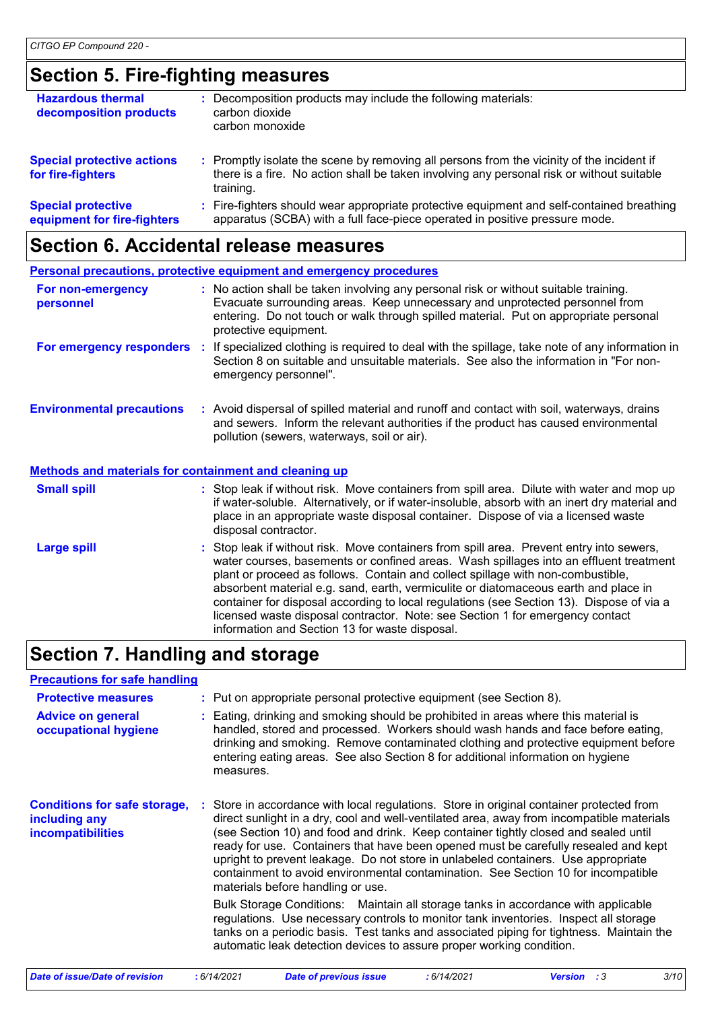# **Section 5. Fire-fighting measures**

| <b>Hazardous thermal</b><br>decomposition products       | Decomposition products may include the following materials:<br>carbon dioxide<br>carbon monoxide                                                                                                    |
|----------------------------------------------------------|-----------------------------------------------------------------------------------------------------------------------------------------------------------------------------------------------------|
| <b>Special protective actions</b><br>for fire-fighters   | : Promptly isolate the scene by removing all persons from the vicinity of the incident if<br>there is a fire. No action shall be taken involving any personal risk or without suitable<br>training. |
| <b>Special protective</b><br>equipment for fire-fighters | : Fire-fighters should wear appropriate protective equipment and self-contained breathing<br>apparatus (SCBA) with a full face-piece operated in positive pressure mode.                            |

# **Section 6. Accidental release measures**

|                                                              | <b>Personal precautions, protective equipment and emergency procedures</b>                                                                                                                                                                                                                                                                                                                                                                                                                                                                                                               |
|--------------------------------------------------------------|------------------------------------------------------------------------------------------------------------------------------------------------------------------------------------------------------------------------------------------------------------------------------------------------------------------------------------------------------------------------------------------------------------------------------------------------------------------------------------------------------------------------------------------------------------------------------------------|
| For non-emergency<br>personnel                               | : No action shall be taken involving any personal risk or without suitable training.<br>Evacuate surrounding areas. Keep unnecessary and unprotected personnel from<br>entering. Do not touch or walk through spilled material. Put on appropriate personal<br>protective equipment.                                                                                                                                                                                                                                                                                                     |
| For emergency responders                                     | If specialized clothing is required to deal with the spillage, take note of any information in<br>÷.<br>Section 8 on suitable and unsuitable materials. See also the information in "For non-<br>emergency personnel".                                                                                                                                                                                                                                                                                                                                                                   |
| <b>Environmental precautions</b>                             | : Avoid dispersal of spilled material and runoff and contact with soil, waterways, drains<br>and sewers. Inform the relevant authorities if the product has caused environmental<br>pollution (sewers, waterways, soil or air).                                                                                                                                                                                                                                                                                                                                                          |
| <b>Methods and materials for containment and cleaning up</b> |                                                                                                                                                                                                                                                                                                                                                                                                                                                                                                                                                                                          |
| <b>Small spill</b>                                           | : Stop leak if without risk. Move containers from spill area. Dilute with water and mop up<br>if water-soluble. Alternatively, or if water-insoluble, absorb with an inert dry material and<br>place in an appropriate waste disposal container. Dispose of via a licensed waste<br>disposal contractor.                                                                                                                                                                                                                                                                                 |
| <b>Large spill</b>                                           | Stop leak if without risk. Move containers from spill area. Prevent entry into sewers,<br>water courses, basements or confined areas. Wash spillages into an effluent treatment<br>plant or proceed as follows. Contain and collect spillage with non-combustible,<br>absorbent material e.g. sand, earth, vermiculite or diatomaceous earth and place in<br>container for disposal according to local regulations (see Section 13). Dispose of via a<br>licensed waste disposal contractor. Note: see Section 1 for emergency contact<br>information and Section 13 for waste disposal. |

# **Section 7. Handling and storage**

| : Put on appropriate personal protective equipment (see Section 8).<br>: Eating, drinking and smoking should be prohibited in areas where this material is<br>handled, stored and processed. Workers should wash hands and face before eating,<br>drinking and smoking. Remove contaminated clothing and protective equipment before<br>entering eating areas. See also Section 8 for additional information on hygiene<br>measures.<br>: Store in accordance with local regulations. Store in original container protected from                                                                                                                                                                                                                                                                                                       |
|----------------------------------------------------------------------------------------------------------------------------------------------------------------------------------------------------------------------------------------------------------------------------------------------------------------------------------------------------------------------------------------------------------------------------------------------------------------------------------------------------------------------------------------------------------------------------------------------------------------------------------------------------------------------------------------------------------------------------------------------------------------------------------------------------------------------------------------|
|                                                                                                                                                                                                                                                                                                                                                                                                                                                                                                                                                                                                                                                                                                                                                                                                                                        |
|                                                                                                                                                                                                                                                                                                                                                                                                                                                                                                                                                                                                                                                                                                                                                                                                                                        |
| direct sunlight in a dry, cool and well-ventilated area, away from incompatible materials<br>(see Section 10) and food and drink. Keep container tightly closed and sealed until<br>ready for use. Containers that have been opened must be carefully resealed and kept<br>upright to prevent leakage. Do not store in unlabeled containers. Use appropriate<br>containment to avoid environmental contamination. See Section 10 for incompatible<br>materials before handling or use.<br>Bulk Storage Conditions: Maintain all storage tanks in accordance with applicable<br>regulations. Use necessary controls to monitor tank inventories. Inspect all storage<br>tanks on a periodic basis. Test tanks and associated piping for tightness. Maintain the<br>automatic leak detection devices to assure proper working condition. |
|                                                                                                                                                                                                                                                                                                                                                                                                                                                                                                                                                                                                                                                                                                                                                                                                                                        |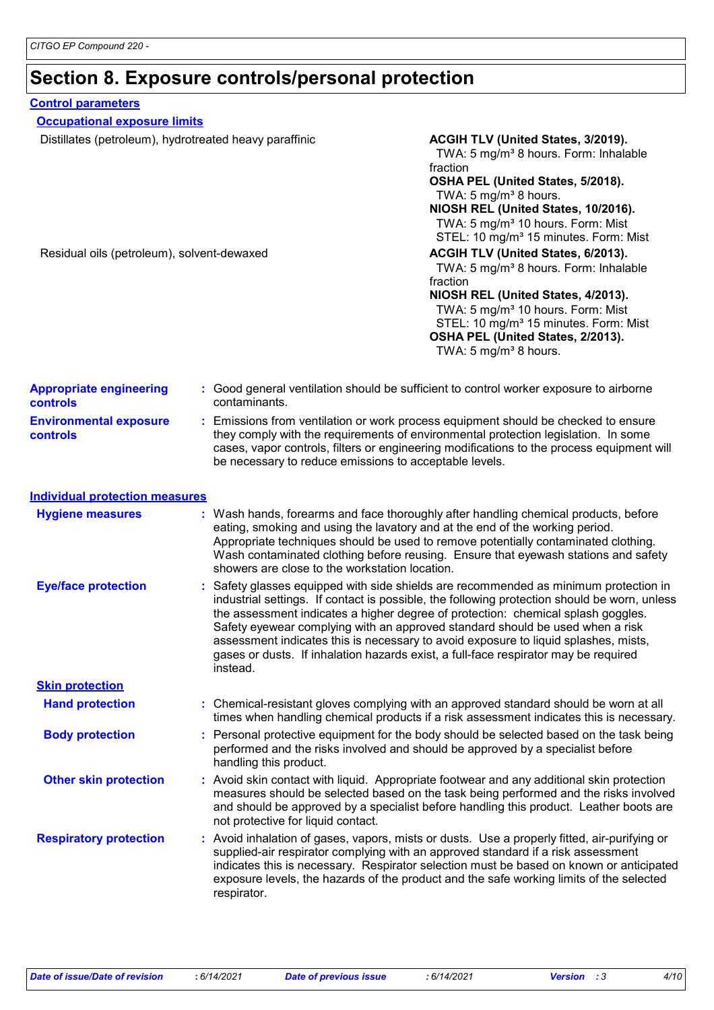# **Section 8. Exposure controls/personal protection**

| <b>Control parameters</b>                                                                            |                        |                                                                                                                                                                                                                                                                                                                                                                                                                                                                                                                                                                                                                                                         |  |  |
|------------------------------------------------------------------------------------------------------|------------------------|---------------------------------------------------------------------------------------------------------------------------------------------------------------------------------------------------------------------------------------------------------------------------------------------------------------------------------------------------------------------------------------------------------------------------------------------------------------------------------------------------------------------------------------------------------------------------------------------------------------------------------------------------------|--|--|
| <b>Occupational exposure limits</b>                                                                  |                        |                                                                                                                                                                                                                                                                                                                                                                                                                                                                                                                                                                                                                                                         |  |  |
| Distillates (petroleum), hydrotreated heavy paraffinic<br>Residual oils (petroleum), solvent-dewaxed |                        | ACGIH TLV (United States, 3/2019).<br>TWA: 5 mg/m <sup>3</sup> 8 hours. Form: Inhalable<br>fraction<br>OSHA PEL (United States, 5/2018).<br>TWA: 5 mg/m <sup>3</sup> 8 hours.<br>NIOSH REL (United States, 10/2016).<br>TWA: 5 mg/m <sup>3</sup> 10 hours. Form: Mist<br>STEL: 10 mg/m <sup>3</sup> 15 minutes. Form: Mist<br>ACGIH TLV (United States, 6/2013).<br>TWA: 5 mg/m <sup>3</sup> 8 hours. Form: Inhalable<br>fraction<br>NIOSH REL (United States, 4/2013).<br>TWA: 5 mg/m <sup>3</sup> 10 hours. Form: Mist<br>STEL: 10 mg/m <sup>3</sup> 15 minutes. Form: Mist<br>OSHA PEL (United States, 2/2013).<br>TWA: 5 mg/m <sup>3</sup> 8 hours. |  |  |
| <b>Appropriate engineering</b><br><b>controls</b>                                                    | contaminants.          | : Good general ventilation should be sufficient to control worker exposure to airborne                                                                                                                                                                                                                                                                                                                                                                                                                                                                                                                                                                  |  |  |
| <b>Environmental exposure</b><br><b>controls</b>                                                     |                        | : Emissions from ventilation or work process equipment should be checked to ensure<br>they comply with the requirements of environmental protection legislation. In some<br>cases, vapor controls, filters or engineering modifications to the process equipment will<br>be necessary to reduce emissions to acceptable levels.                                                                                                                                                                                                                                                                                                                         |  |  |
| <b>Individual protection measures</b>                                                                |                        |                                                                                                                                                                                                                                                                                                                                                                                                                                                                                                                                                                                                                                                         |  |  |
| <b>Hygiene measures</b>                                                                              |                        | : Wash hands, forearms and face thoroughly after handling chemical products, before<br>eating, smoking and using the lavatory and at the end of the working period.<br>Appropriate techniques should be used to remove potentially contaminated clothing.<br>Wash contaminated clothing before reusing. Ensure that eyewash stations and safety<br>showers are close to the workstation location.                                                                                                                                                                                                                                                       |  |  |
| <b>Eye/face protection</b>                                                                           | instead.               | : Safety glasses equipped with side shields are recommended as minimum protection in<br>industrial settings. If contact is possible, the following protection should be worn, unless<br>the assessment indicates a higher degree of protection: chemical splash goggles.<br>Safety eyewear complying with an approved standard should be used when a risk<br>assessment indicates this is necessary to avoid exposure to liquid splashes, mists,<br>gases or dusts. If inhalation hazards exist, a full-face respirator may be required                                                                                                                 |  |  |
| <b>Skin protection</b>                                                                               |                        |                                                                                                                                                                                                                                                                                                                                                                                                                                                                                                                                                                                                                                                         |  |  |
| <b>Hand protection</b>                                                                               |                        | : Chemical-resistant gloves complying with an approved standard should be worn at all<br>times when handling chemical products if a risk assessment indicates this is necessary.                                                                                                                                                                                                                                                                                                                                                                                                                                                                        |  |  |
| <b>Body protection</b>                                                                               | handling this product. | : Personal protective equipment for the body should be selected based on the task being<br>performed and the risks involved and should be approved by a specialist before                                                                                                                                                                                                                                                                                                                                                                                                                                                                               |  |  |
| <b>Other skin protection</b>                                                                         |                        | : Avoid skin contact with liquid. Appropriate footwear and any additional skin protection<br>measures should be selected based on the task being performed and the risks involved<br>and should be approved by a specialist before handling this product. Leather boots are<br>not protective for liquid contact.                                                                                                                                                                                                                                                                                                                                       |  |  |
| <b>Respiratory protection</b>                                                                        | respirator.            | : Avoid inhalation of gases, vapors, mists or dusts. Use a properly fitted, air-purifying or<br>supplied-air respirator complying with an approved standard if a risk assessment<br>indicates this is necessary. Respirator selection must be based on known or anticipated<br>exposure levels, the hazards of the product and the safe working limits of the selected                                                                                                                                                                                                                                                                                  |  |  |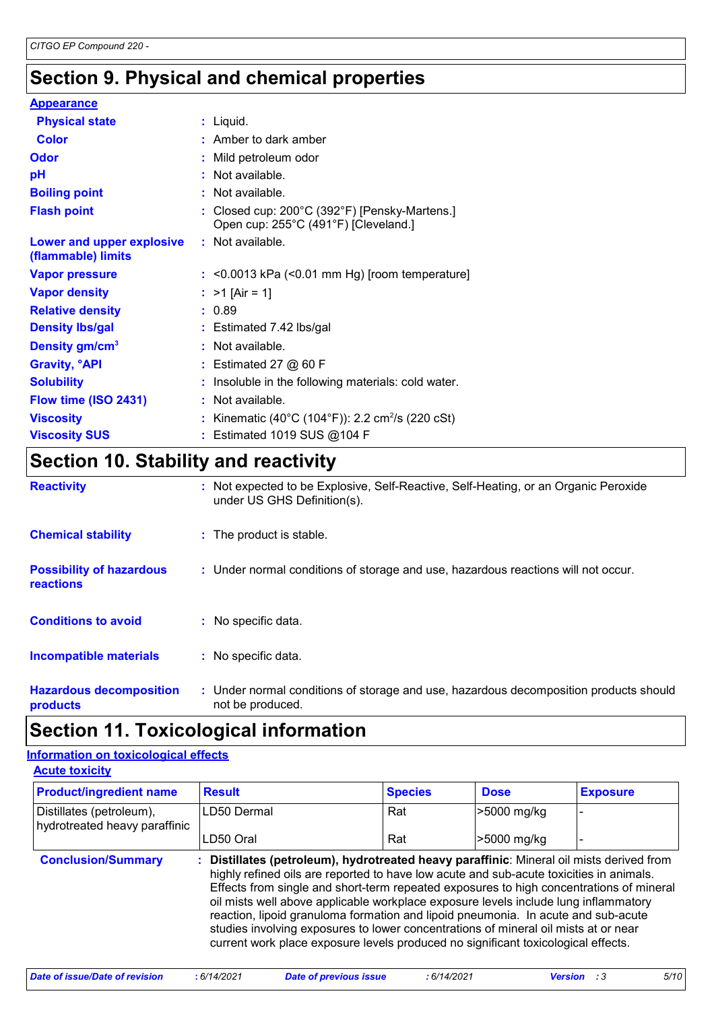# **Section 9. Physical and chemical properties**

| <b>Appearance</b>                               |                                                                                       |
|-------------------------------------------------|---------------------------------------------------------------------------------------|
| <b>Physical state</b>                           | $:$ Liquid.                                                                           |
| <b>Color</b>                                    | $:$ Amber to dark amber                                                               |
| Odor                                            | : Mild petroleum odor                                                                 |
| pH                                              | : Not available.                                                                      |
| <b>Boiling point</b>                            | : Not available.                                                                      |
| <b>Flash point</b>                              | : Closed cup: 200°C (392°F) [Pensky-Martens.]<br>Open cup: 255°C (491°F) [Cleveland.] |
| Lower and upper explosive<br>(flammable) limits | : Not available.                                                                      |
| <b>Vapor pressure</b>                           | $:$ <0.0013 kPa (<0.01 mm Hg) [room temperature]                                      |
| <b>Vapor density</b>                            | : $>1$ [Air = 1]                                                                      |
| <b>Relative density</b>                         | : 0.89                                                                                |
| <b>Density Ibs/gal</b>                          | : Estimated 7.42 lbs/gal                                                              |
| Density gm/cm <sup>3</sup>                      | : Not available.                                                                      |
| <b>Gravity, <sup>o</sup>API</b>                 | $:$ Estimated 27 $@$ 60 F                                                             |
| <b>Solubility</b>                               | : Insoluble in the following materials: cold water.                                   |
| Flow time (ISO 2431)                            | : Not available.                                                                      |
| <b>Viscosity</b>                                | : Kinematic (40°C (104°F)): 2.2 cm <sup>2</sup> /s (220 cSt)                          |
| <b>Viscosity SUS</b>                            | : Estimated 1019 SUS @104 F                                                           |
| Coction 10 Stability and reactivity             |                                                                                       |

### **Section 10. Stability and reactivity**

| <b>Reactivity</b>                            | : Not expected to be Explosive, Self-Reactive, Self-Heating, or an Organic Peroxide<br>under US GHS Definition(s). |
|----------------------------------------------|--------------------------------------------------------------------------------------------------------------------|
| <b>Chemical stability</b>                    | : The product is stable.                                                                                           |
| <b>Possibility of hazardous</b><br>reactions | : Under normal conditions of storage and use, hazardous reactions will not occur.                                  |
| <b>Conditions to avoid</b>                   | : No specific data.                                                                                                |
| <b>Incompatible materials</b>                | : No specific data.                                                                                                |
| <b>Hazardous decomposition</b><br>products   | : Under normal conditions of storage and use, hazardous decomposition products should<br>not be produced.          |

### **Section 11. Toxicological information**

#### **Acute toxicity Information on toxicological effects**

| <b>Product/ingredient name</b>                            | <b>Result</b>                                                                                                                                                                                                                                                                                                                                                                                                                                                                                                                                                                                                                          | <b>Species</b> | <b>Dose</b> | <b>Exposure</b> |
|-----------------------------------------------------------|----------------------------------------------------------------------------------------------------------------------------------------------------------------------------------------------------------------------------------------------------------------------------------------------------------------------------------------------------------------------------------------------------------------------------------------------------------------------------------------------------------------------------------------------------------------------------------------------------------------------------------------|----------------|-------------|-----------------|
| Distillates (petroleum),<br>hydrotreated heavy paraffinic | LD50 Dermal                                                                                                                                                                                                                                                                                                                                                                                                                                                                                                                                                                                                                            | Rat            | >5000 mg/kg |                 |
|                                                           | LD50 Oral                                                                                                                                                                                                                                                                                                                                                                                                                                                                                                                                                                                                                              | Rat            | >5000 mg/kg |                 |
| <b>Conclusion/Summary</b>                                 | : Distillates (petroleum), hydrotreated heavy paraffinic: Mineral oil mists derived from<br>highly refined oils are reported to have low acute and sub-acute toxicities in animals.<br>Effects from single and short-term repeated exposures to high concentrations of mineral<br>oil mists well above applicable workplace exposure levels include lung inflammatory<br>reaction, lipoid granuloma formation and lipoid pneumonia. In acute and sub-acute<br>studies involving exposures to lower concentrations of mineral oil mists at or near<br>current work place exposure levels produced no significant toxicological effects. |                |             |                 |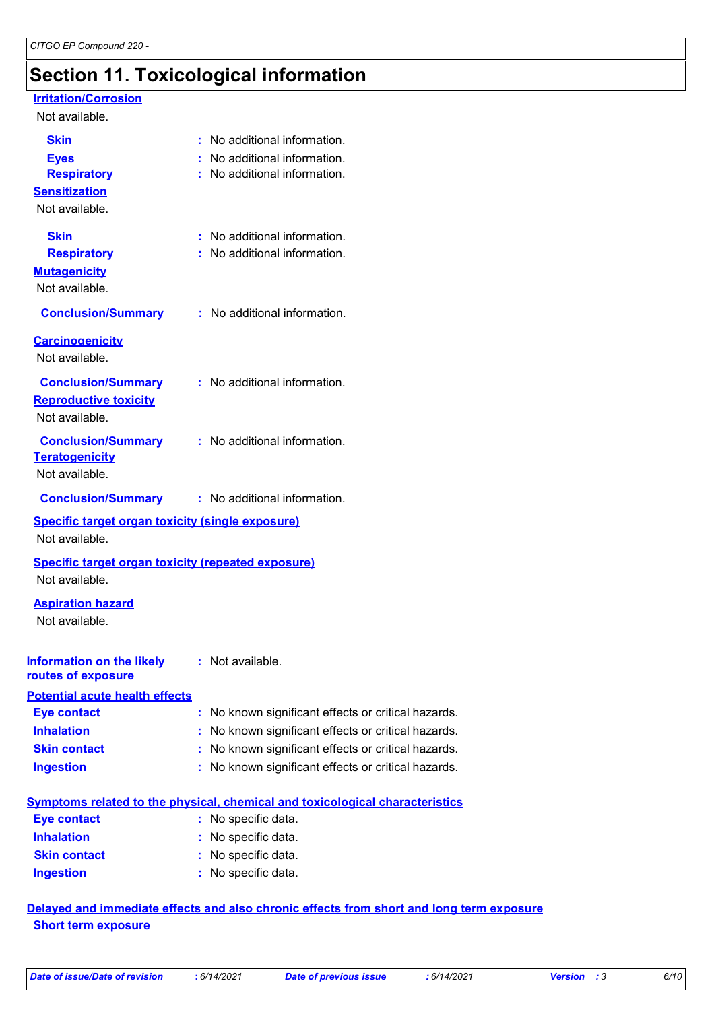# **Section 11. Toxicological information**

#### **Irritation/Corrosion**

#### Not available.

| <b>Skin</b><br><b>Eyes</b><br><b>Respiratory</b><br><b>Sensitization</b><br>Not available. | : No additional information.<br>: No additional information.<br>: No additional information. |
|--------------------------------------------------------------------------------------------|----------------------------------------------------------------------------------------------|
| <b>Skin</b><br><b>Respiratory</b><br><b>Mutagenicity</b><br>Not available.                 | : No additional information.<br>: No additional information.                                 |
| <b>Conclusion/Summary</b>                                                                  | : No additional information.                                                                 |
| <b>Carcinogenicity</b><br>Not available.                                                   |                                                                                              |
| <b>Conclusion/Summary</b><br><b>Reproductive toxicity</b><br>Not available.                | : No additional information.                                                                 |
| <b>Conclusion/Summary</b><br><b>Teratogenicity</b><br>Not available.                       | : No additional information.                                                                 |
| <b>Conclusion/Summary</b>                                                                  | : No additional information.                                                                 |
| <b>Specific target organ toxicity (single exposure)</b><br>Not available.                  |                                                                                              |
| <b>Specific target organ toxicity (repeated exposure)</b><br>Not available.                |                                                                                              |
| <b>Aspiration hazard</b><br>Not available.                                                 |                                                                                              |
| <b>Information on the likely : Not available.</b><br>routes of exposure                    |                                                                                              |
| <b>Potential acute health effects</b>                                                      |                                                                                              |
| <b>Eye contact</b>                                                                         | : No known significant effects or critical hazards.                                          |
| <b>Inhalation</b>                                                                          | : No known significant effects or critical hazards.                                          |
| <b>Skin contact</b>                                                                        | No known significant effects or critical hazards.                                            |
| <b>Ingestion</b>                                                                           | : No known significant effects or critical hazards.                                          |
|                                                                                            | <b>Symptoms related to the physical, chemical and toxicological characteristics</b>          |
| <b>Eye contact</b>                                                                         | : No specific data.                                                                          |
| <b>Inhalation</b>                                                                          |                                                                                              |
|                                                                                            | No specific data.                                                                            |
| <b>Skin contact</b>                                                                        | : No specific data.                                                                          |
| <b>Ingestion</b>                                                                           | No specific data.                                                                            |

#### **Delayed and immediate effects and also chronic effects from short and long term exposure Short term exposure**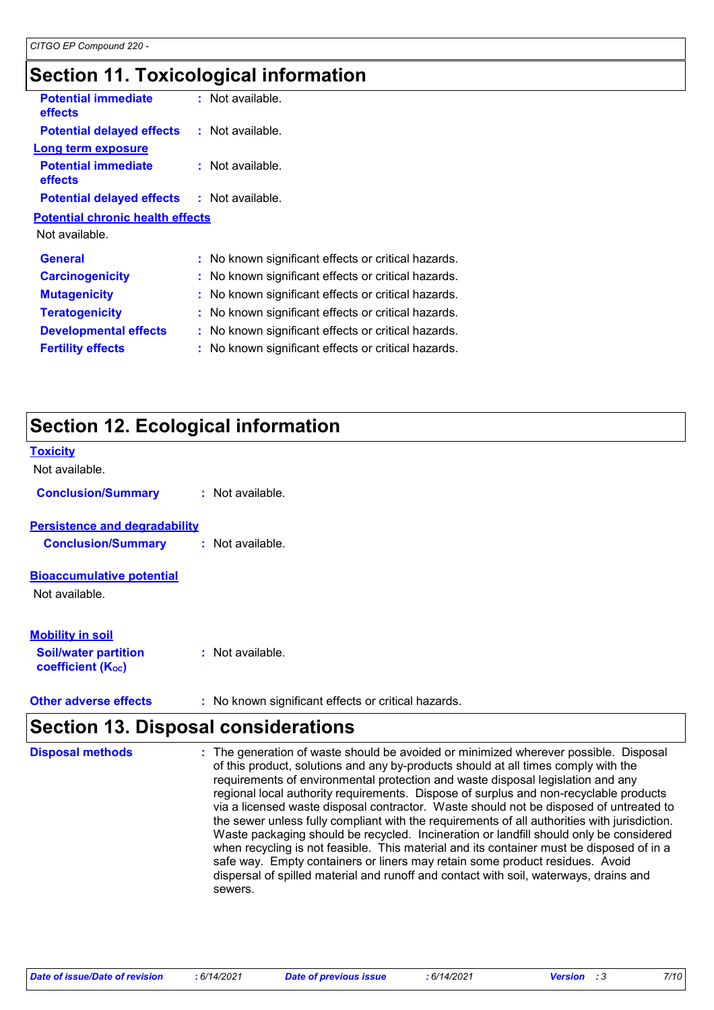# **Section 11. Toxicological information**

| <b>Potential immediate</b><br><b>effects</b> | $:$ Not available.                                  |
|----------------------------------------------|-----------------------------------------------------|
| <b>Potential delayed effects</b>             | : Not available.                                    |
| Long term exposure                           |                                                     |
| <b>Potential immediate</b><br>effects        | $:$ Not available.                                  |
| <b>Potential delayed effects</b>             | : Not available.                                    |
| <b>Potential chronic health effects</b>      |                                                     |
| Not available.                               |                                                     |
| <b>General</b>                               | : No known significant effects or critical hazards. |
| <b>Carcinogenicity</b>                       | : No known significant effects or critical hazards. |
| <b>Mutagenicity</b>                          | : No known significant effects or critical hazards. |
| <b>Teratogenicity</b>                        | : No known significant effects or critical hazards. |
| <b>Developmental effects</b>                 | : No known significant effects or critical hazards. |
| <b>Fertility effects</b>                     | No known significant effects or critical hazards.   |
|                                              |                                                     |

# **Section 12. Ecological information**

| <b>Toxicity</b><br>Not available.                                                               |                  |
|-------------------------------------------------------------------------------------------------|------------------|
| <b>Conclusion/Summary</b>                                                                       | : Not available. |
| <b>Persistence and degradability</b><br><b>Conclusion/Summary</b>                               | : Not available. |
| <b>Bioaccumulative potential</b><br>Not available.                                              |                  |
| <b>Mobility in soil</b><br><b>Soil/water partition</b><br><b>coefficient</b> (K <sub>oc</sub> ) | Not available.   |

**Other adverse effects** : No known significant effects or critical hazards.

### **Section 13. Disposal considerations**

| <b>Disposal methods</b> | : The generation of waste should be avoided or minimized wherever possible. Disposal<br>of this product, solutions and any by-products should at all times comply with the<br>requirements of environmental protection and waste disposal legislation and any<br>regional local authority requirements. Dispose of surplus and non-recyclable products<br>via a licensed waste disposal contractor. Waste should not be disposed of untreated to<br>the sewer unless fully compliant with the requirements of all authorities with jurisdiction.<br>Waste packaging should be recycled. Incineration or landfill should only be considered<br>when recycling is not feasible. This material and its container must be disposed of in a<br>safe way. Empty containers or liners may retain some product residues. Avoid<br>dispersal of spilled material and runoff and contact with soil, waterways, drains and |
|-------------------------|-----------------------------------------------------------------------------------------------------------------------------------------------------------------------------------------------------------------------------------------------------------------------------------------------------------------------------------------------------------------------------------------------------------------------------------------------------------------------------------------------------------------------------------------------------------------------------------------------------------------------------------------------------------------------------------------------------------------------------------------------------------------------------------------------------------------------------------------------------------------------------------------------------------------|
|                         | sewers.                                                                                                                                                                                                                                                                                                                                                                                                                                                                                                                                                                                                                                                                                                                                                                                                                                                                                                         |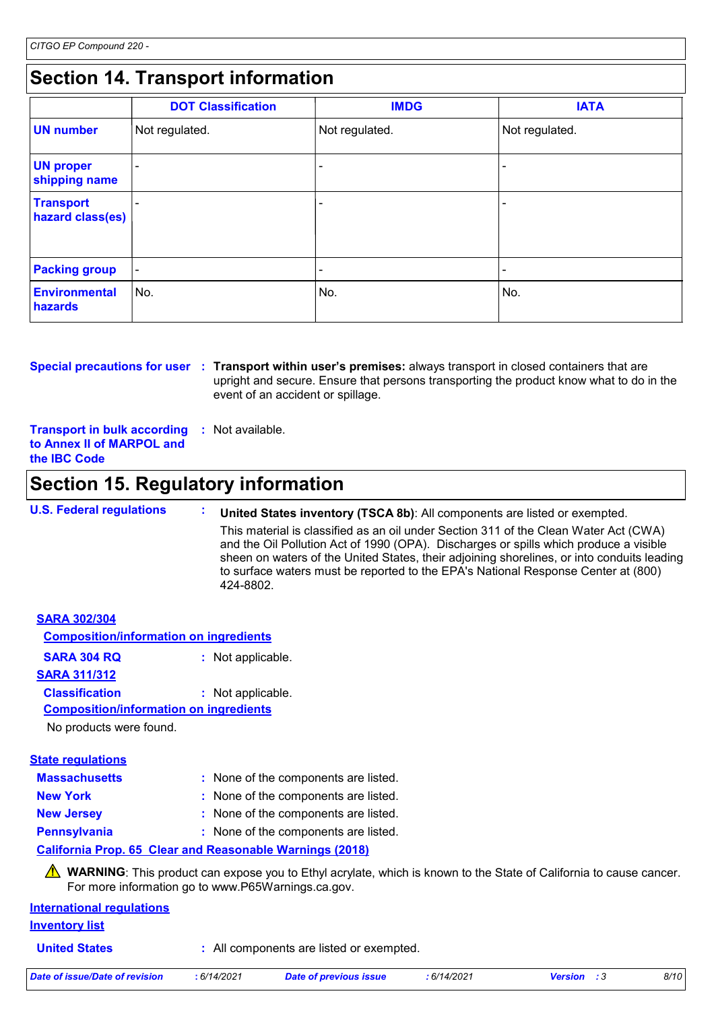# **Section 14. Transport information**

|                                      | <b>DOT Classification</b> | <b>IMDG</b>    | <b>IATA</b>              |
|--------------------------------------|---------------------------|----------------|--------------------------|
| <b>UN</b> number                     | Not regulated.            | Not regulated. | Not regulated.           |
| <b>UN proper</b><br>shipping name    |                           |                |                          |
| <b>Transport</b><br>hazard class(es) |                           |                |                          |
| <b>Packing group</b>                 | $\overline{\phantom{a}}$  |                | $\overline{\phantom{a}}$ |
| <b>Environmental</b><br>hazards      | ∣No.                      | No.            | No.                      |

**Special precautions for user** : Transport within user's premises: always transport in closed containers that are upright and secure. Ensure that persons transporting the product know what to do in the event of an accident or spillage.

**Transport in bulk according to Annex II of MARPOL and the IBC Code :** Not available.

### **Section 15. Regulatory information**

**U.S. Federal regulations : United States inventory (TSCA 8b)**: All components are listed or exempted. This material is classified as an oil under Section 311 of the Clean Water Act (CWA) and the Oil Pollution Act of 1990 (OPA). Discharges or spills which produce a visible sheen on waters of the United States, their adjoining shorelines, or into conduits leading to surface waters must be reported to the EPA's National Response Center at (800) 424-8802.

| <b>SARA 302/304</b>                           |                   |  |  |  |
|-----------------------------------------------|-------------------|--|--|--|
| <b>Composition/information on ingredients</b> |                   |  |  |  |
| SARA 304 RQ                                   | : Not applicable. |  |  |  |
| <b>SARA 311/312</b>                           |                   |  |  |  |
| <b>Classification</b>                         | : Not applicable. |  |  |  |
| <b>Composition/information on ingredients</b> |                   |  |  |  |
| No products were found.                       |                   |  |  |  |
| Stato roquistione                             |                   |  |  |  |

| <u>Jialo I Gyulativiis</u> |                                      |
|----------------------------|--------------------------------------|
| <b>Massachusetts</b>       | : None of the components are listed. |
| <b>New York</b>            | : None of the components are listed. |
| <b>New Jersey</b>          | : None of the components are listed. |
| <b>Pennsylvania</b>        | : None of the components are listed. |

#### **California Prop. 65 Clear and Reasonable Warnings (2018)**

WARNING: This product can expose you to Ethyl acrylate, which is known to the State of California to cause cancer. For more information go to www.P65Warnings.ca.gov.

| <b>International regulations</b> |  |
|----------------------------------|--|
| <b>Inventory list</b>            |  |

**United States :** All components are listed or exempted.

| Date of issue/Date of revision | . 6/14/2021 | <b>Date of previous issue</b> | : 6/14/2021 | <b>Version</b> : 3 | 8/10 |
|--------------------------------|-------------|-------------------------------|-------------|--------------------|------|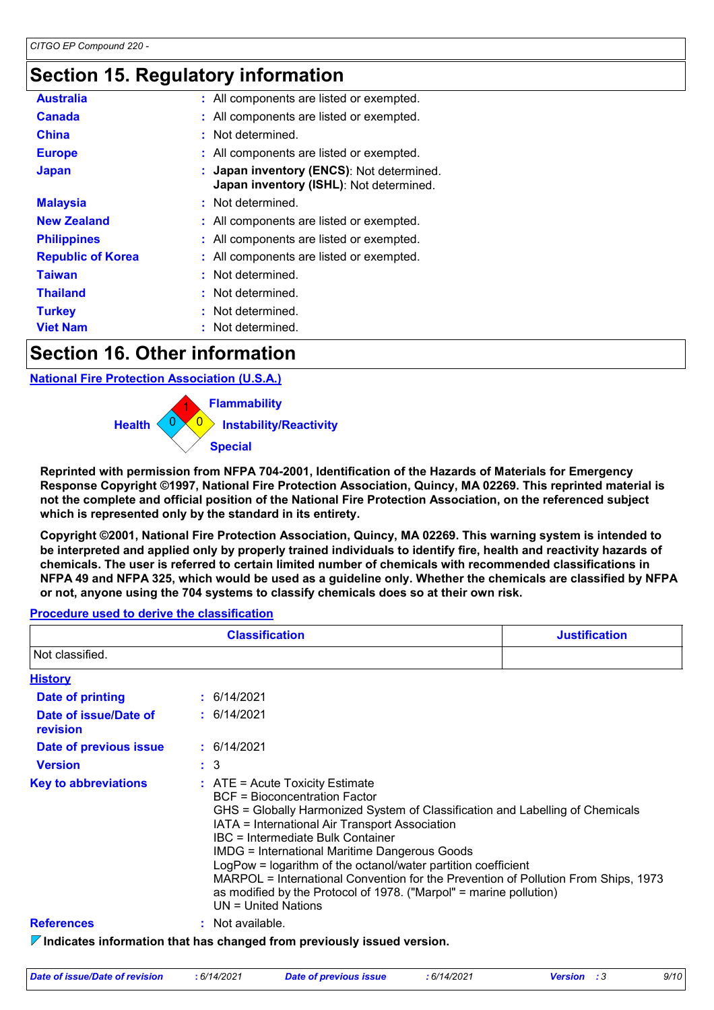### **Section 15. Regulatory information**

| <b>Australia</b>         | : All components are listed or exempted.                                           |
|--------------------------|------------------------------------------------------------------------------------|
| <b>Canada</b>            | : All components are listed or exempted.                                           |
| <b>China</b>             | : Not determined.                                                                  |
| <b>Europe</b>            | : All components are listed or exempted.                                           |
| <b>Japan</b>             | Japan inventory (ENCS): Not determined.<br>Japan inventory (ISHL): Not determined. |
| <b>Malaysia</b>          | : Not determined.                                                                  |
| <b>New Zealand</b>       | : All components are listed or exempted.                                           |
| <b>Philippines</b>       | : All components are listed or exempted.                                           |
| <b>Republic of Korea</b> | : All components are listed or exempted.                                           |
| <b>Taiwan</b>            | : Not determined.                                                                  |
| <b>Thailand</b>          | : Not determined.                                                                  |
| <b>Turkey</b>            | Not determined.                                                                    |
| <b>Viet Nam</b>          | Not determined.                                                                    |

### **Section 16. Other information**

**National Fire Protection Association (U.S.A.)**



**Reprinted with permission from NFPA 704-2001, Identification of the Hazards of Materials for Emergency Response Copyright ©1997, National Fire Protection Association, Quincy, MA 02269. This reprinted material is not the complete and official position of the National Fire Protection Association, on the referenced subject which is represented only by the standard in its entirety.**

**Copyright ©2001, National Fire Protection Association, Quincy, MA 02269. This warning system is intended to be interpreted and applied only by properly trained individuals to identify fire, health and reactivity hazards of chemicals. The user is referred to certain limited number of chemicals with recommended classifications in NFPA 49 and NFPA 325, which would be used as a guideline only. Whether the chemicals are classified by NFPA or not, anyone using the 704 systems to classify chemicals does so at their own risk.**

#### **Procedure used to derive the classification**

| <b>Classification</b>             |                                                                                                                                                                                                                                                                                                                                                                                                                                                                                                                                                                   | <b>Justification</b> |
|-----------------------------------|-------------------------------------------------------------------------------------------------------------------------------------------------------------------------------------------------------------------------------------------------------------------------------------------------------------------------------------------------------------------------------------------------------------------------------------------------------------------------------------------------------------------------------------------------------------------|----------------------|
| Not classified.                   |                                                                                                                                                                                                                                                                                                                                                                                                                                                                                                                                                                   |                      |
| <b>History</b>                    |                                                                                                                                                                                                                                                                                                                                                                                                                                                                                                                                                                   |                      |
| <b>Date of printing</b>           | : 6/14/2021                                                                                                                                                                                                                                                                                                                                                                                                                                                                                                                                                       |                      |
| Date of issue/Date of<br>revision | : 6/14/2021                                                                                                                                                                                                                                                                                                                                                                                                                                                                                                                                                       |                      |
| Date of previous issue            | : 6/14/2021                                                                                                                                                                                                                                                                                                                                                                                                                                                                                                                                                       |                      |
| <b>Version</b>                    | $\therefore$ 3                                                                                                                                                                                                                                                                                                                                                                                                                                                                                                                                                    |                      |
| <b>Key to abbreviations</b>       | $\therefore$ ATE = Acute Toxicity Estimate<br>BCF = Bioconcentration Factor<br>GHS = Globally Harmonized System of Classification and Labelling of Chemicals<br>IATA = International Air Transport Association<br>IBC = Intermediate Bulk Container<br><b>IMDG = International Maritime Dangerous Goods</b><br>LogPow = logarithm of the octanol/water partition coefficient<br>MARPOL = International Convention for the Prevention of Pollution From Ships, 1973<br>as modified by the Protocol of 1978. ("Marpol" = marine pollution)<br>$UN = United Nations$ |                      |
| <b>References</b>                 | : Not available.                                                                                                                                                                                                                                                                                                                                                                                                                                                                                                                                                  |                      |
|                                   | $\nabla$ Indicates information that has changed from previously issued version.                                                                                                                                                                                                                                                                                                                                                                                                                                                                                   |                      |